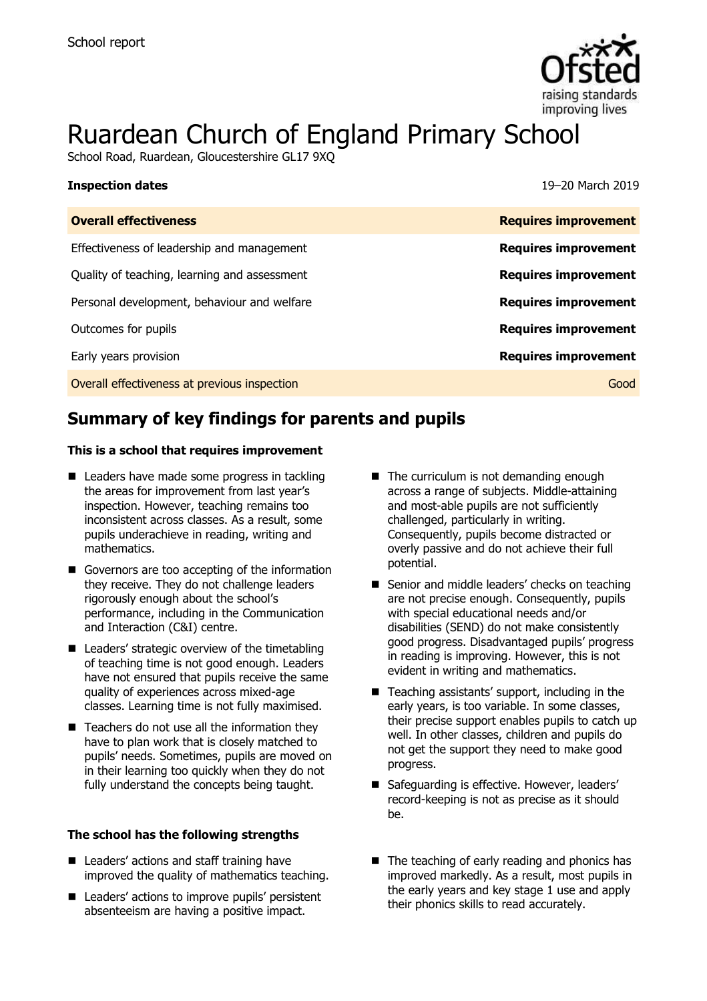

# Ruardean Church of England Primary School

School Road, Ruardean, Gloucestershire GL17 9XQ

| <b>Inspection dates</b>                      | 19–20 March 2019            |
|----------------------------------------------|-----------------------------|
| <b>Overall effectiveness</b>                 | <b>Requires improvement</b> |
| Effectiveness of leadership and management   | <b>Requires improvement</b> |
| Quality of teaching, learning and assessment | <b>Requires improvement</b> |
| Personal development, behaviour and welfare  | <b>Requires improvement</b> |
| Outcomes for pupils                          | <b>Requires improvement</b> |
| Early years provision                        | <b>Requires improvement</b> |
| Overall effectiveness at previous inspection | Good                        |

# **Summary of key findings for parents and pupils**

#### **This is a school that requires improvement**

- Leaders have made some progress in tackling the areas for improvement from last year's inspection. However, teaching remains too inconsistent across classes. As a result, some pupils underachieve in reading, writing and mathematics.
- Governors are too accepting of the information they receive. They do not challenge leaders rigorously enough about the school's performance, including in the Communication and Interaction (C&I) centre.
- Leaders' strategic overview of the timetabling of teaching time is not good enough. Leaders have not ensured that pupils receive the same quality of experiences across mixed-age classes. Learning time is not fully maximised.
- $\blacksquare$  Teachers do not use all the information they have to plan work that is closely matched to pupils' needs. Sometimes, pupils are moved on in their learning too quickly when they do not fully understand the concepts being taught.

#### **The school has the following strengths**

- Leaders' actions and staff training have improved the quality of mathematics teaching.
- Leaders' actions to improve pupils' persistent absenteeism are having a positive impact.
- The curriculum is not demanding enough across a range of subjects. Middle-attaining and most-able pupils are not sufficiently challenged, particularly in writing. Consequently, pupils become distracted or overly passive and do not achieve their full potential.
- Senior and middle leaders' checks on teaching are not precise enough. Consequently, pupils with special educational needs and/or disabilities (SEND) do not make consistently good progress. Disadvantaged pupils' progress in reading is improving. However, this is not evident in writing and mathematics.
- Teaching assistants' support, including in the early years, is too variable. In some classes, their precise support enables pupils to catch up well. In other classes, children and pupils do not get the support they need to make good progress.
- Safequarding is effective. However, leaders' record-keeping is not as precise as it should be.
- The teaching of early reading and phonics has improved markedly. As a result, most pupils in the early years and key stage 1 use and apply their phonics skills to read accurately.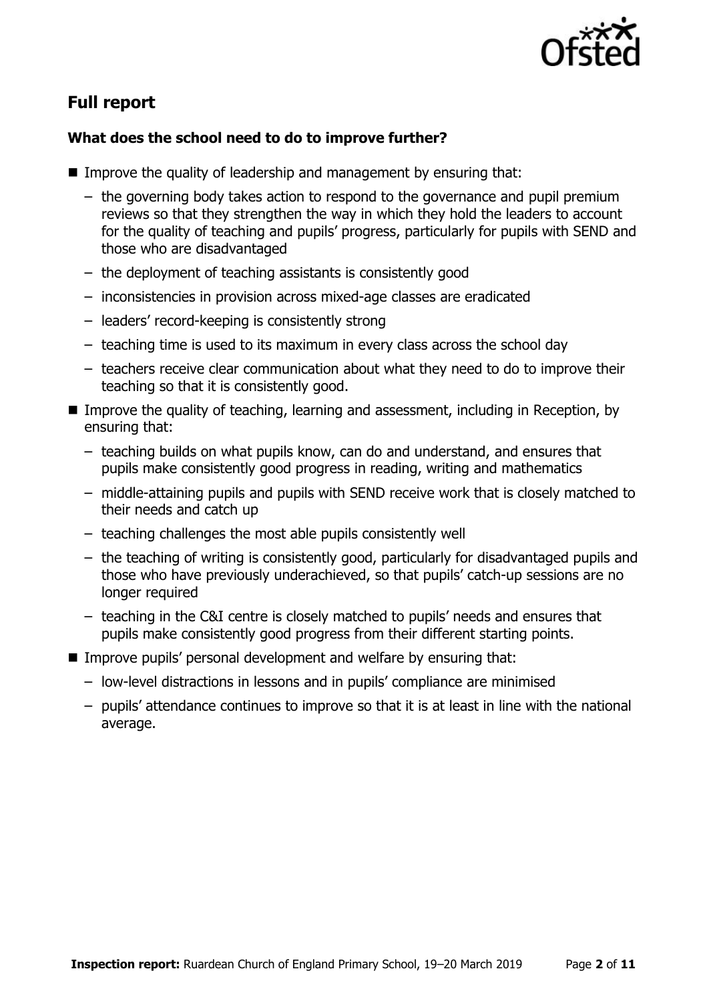

# **Full report**

### **What does the school need to do to improve further?**

- Improve the quality of leadership and management by ensuring that:
	- the governing body takes action to respond to the governance and pupil premium reviews so that they strengthen the way in which they hold the leaders to account for the quality of teaching and pupils' progress, particularly for pupils with SEND and those who are disadvantaged
	- the deployment of teaching assistants is consistently good
	- inconsistencies in provision across mixed-age classes are eradicated
	- leaders' record-keeping is consistently strong
	- teaching time is used to its maximum in every class across the school day
	- teachers receive clear communication about what they need to do to improve their teaching so that it is consistently good.
- **IMPROVE the quality of teaching, learning and assessment, including in Reception, by** ensuring that:
	- teaching builds on what pupils know, can do and understand, and ensures that pupils make consistently good progress in reading, writing and mathematics
	- middle-attaining pupils and pupils with SEND receive work that is closely matched to their needs and catch up
	- teaching challenges the most able pupils consistently well
	- the teaching of writing is consistently good, particularly for disadvantaged pupils and those who have previously underachieved, so that pupils' catch-up sessions are no longer required
	- teaching in the C&I centre is closely matched to pupils' needs and ensures that pupils make consistently good progress from their different starting points.
- Improve pupils' personal development and welfare by ensuring that:
	- low-level distractions in lessons and in pupils' compliance are minimised
	- pupils' attendance continues to improve so that it is at least in line with the national average.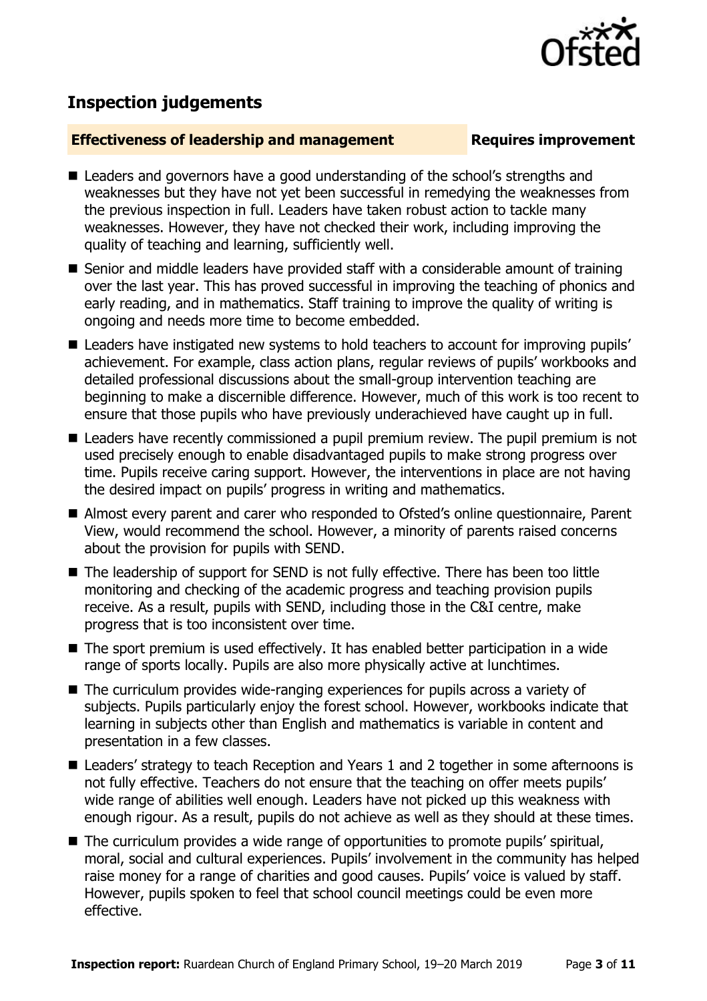

# **Inspection judgements**

#### **Effectiveness of leadership and management Requires improvement**

- Leaders and governors have a good understanding of the school's strengths and weaknesses but they have not yet been successful in remedying the weaknesses from the previous inspection in full. Leaders have taken robust action to tackle many weaknesses. However, they have not checked their work, including improving the quality of teaching and learning, sufficiently well.
- Senior and middle leaders have provided staff with a considerable amount of training over the last year. This has proved successful in improving the teaching of phonics and early reading, and in mathematics. Staff training to improve the quality of writing is ongoing and needs more time to become embedded.
- Leaders have instigated new systems to hold teachers to account for improving pupils' achievement. For example, class action plans, regular reviews of pupils' workbooks and detailed professional discussions about the small-group intervention teaching are beginning to make a discernible difference. However, much of this work is too recent to ensure that those pupils who have previously underachieved have caught up in full.
- Leaders have recently commissioned a pupil premium review. The pupil premium is not used precisely enough to enable disadvantaged pupils to make strong progress over time. Pupils receive caring support. However, the interventions in place are not having the desired impact on pupils' progress in writing and mathematics.
- Almost every parent and carer who responded to Ofsted's online questionnaire. Parent View, would recommend the school. However, a minority of parents raised concerns about the provision for pupils with SEND.
- The leadership of support for SEND is not fully effective. There has been too little monitoring and checking of the academic progress and teaching provision pupils receive. As a result, pupils with SEND, including those in the C&I centre, make progress that is too inconsistent over time.
- The sport premium is used effectively. It has enabled better participation in a wide range of sports locally. Pupils are also more physically active at lunchtimes.
- The curriculum provides wide-ranging experiences for pupils across a variety of subjects. Pupils particularly enjoy the forest school. However, workbooks indicate that learning in subjects other than English and mathematics is variable in content and presentation in a few classes.
- Leaders' strategy to teach Reception and Years 1 and 2 together in some afternoons is not fully effective. Teachers do not ensure that the teaching on offer meets pupils' wide range of abilities well enough. Leaders have not picked up this weakness with enough rigour. As a result, pupils do not achieve as well as they should at these times.
- The curriculum provides a wide range of opportunities to promote pupils' spiritual, moral, social and cultural experiences. Pupils' involvement in the community has helped raise money for a range of charities and good causes. Pupils' voice is valued by staff. However, pupils spoken to feel that school council meetings could be even more effective.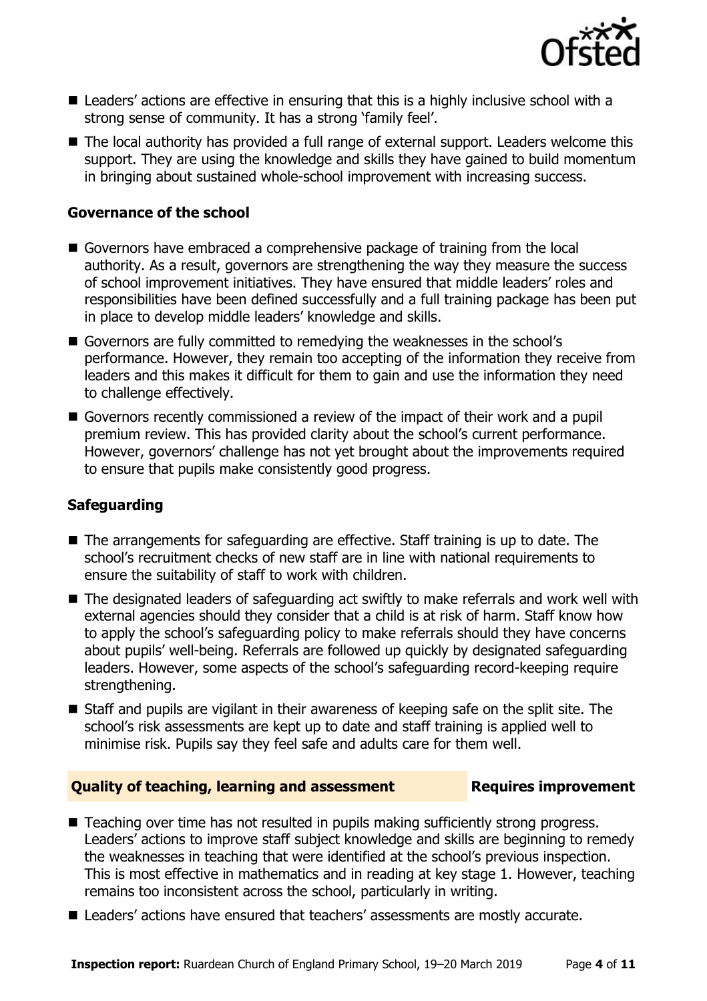

- Leaders' actions are effective in ensuring that this is a highly inclusive school with a strong sense of community. It has a strong 'family feel'.
- The local authority has provided a full range of external support. Leaders welcome this support. They are using the knowledge and skills they have gained to build momentum in bringing about sustained whole-school improvement with increasing success.

#### **Governance of the school**

- Governors have embraced a comprehensive package of training from the local authority. As a result, governors are strengthening the way they measure the success of school improvement initiatives. They have ensured that middle leaders' roles and responsibilities have been defined successfully and a full training package has been put in place to develop middle leaders' knowledge and skills.
- Governors are fully committed to remedying the weaknesses in the school's performance. However, they remain too accepting of the information they receive from leaders and this makes it difficult for them to gain and use the information they need to challenge effectively.
- Governors recently commissioned a review of the impact of their work and a pupil premium review. This has provided clarity about the school's current performance. However, governors' challenge has not yet brought about the improvements required to ensure that pupils make consistently good progress.

#### **Safeguarding**

- The arrangements for safeguarding are effective. Staff training is up to date. The school's recruitment checks of new staff are in line with national requirements to ensure the suitability of staff to work with children.
- The designated leaders of safeguarding act swiftly to make referrals and work well with external agencies should they consider that a child is at risk of harm. Staff know how to apply the school's safeguarding policy to make referrals should they have concerns about pupils' well-being. Referrals are followed up quickly by designated safeguarding leaders. However, some aspects of the school's safeguarding record-keeping require strengthening.
- Staff and pupils are vigilant in their awareness of keeping safe on the split site. The school's risk assessments are kept up to date and staff training is applied well to minimise risk. Pupils say they feel safe and adults care for them well.

#### **Quality of teaching, learning and assessment Requires improvement**

- Teaching over time has not resulted in pupils making sufficiently strong progress. Leaders' actions to improve staff subject knowledge and skills are beginning to remedy the weaknesses in teaching that were identified at the school's previous inspection. This is most effective in mathematics and in reading at key stage 1. However, teaching remains too inconsistent across the school, particularly in writing.
- Leaders' actions have ensured that teachers' assessments are mostly accurate.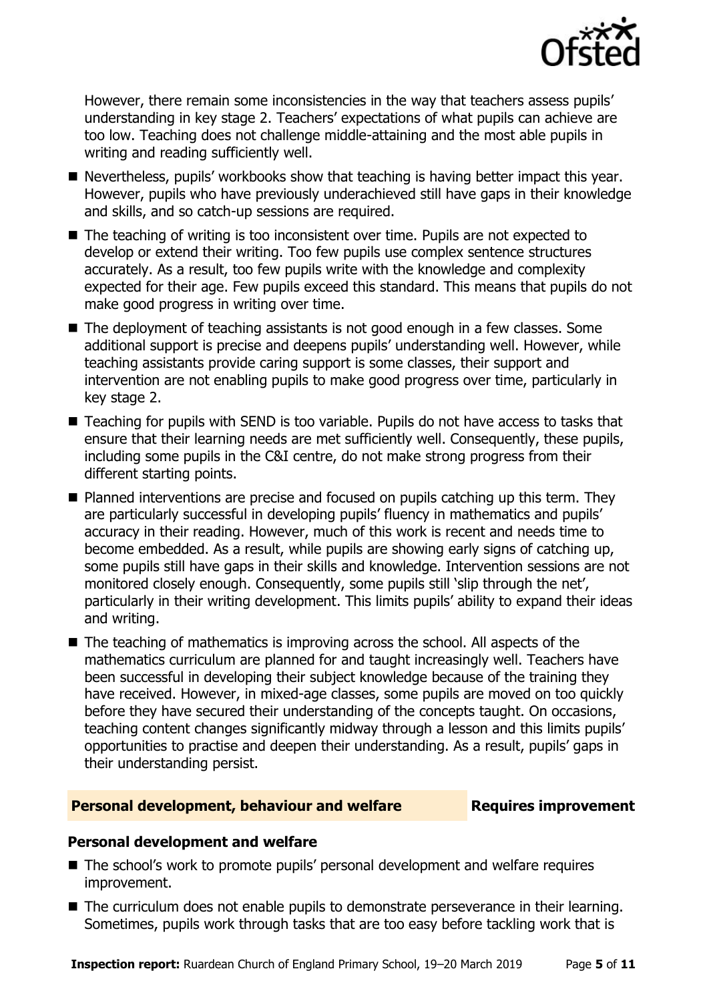

However, there remain some inconsistencies in the way that teachers assess pupils' understanding in key stage 2. Teachers' expectations of what pupils can achieve are too low. Teaching does not challenge middle-attaining and the most able pupils in writing and reading sufficiently well.

- Nevertheless, pupils' workbooks show that teaching is having better impact this year. However, pupils who have previously underachieved still have gaps in their knowledge and skills, and so catch-up sessions are required.
- The teaching of writing is too inconsistent over time. Pupils are not expected to develop or extend their writing. Too few pupils use complex sentence structures accurately. As a result, too few pupils write with the knowledge and complexity expected for their age. Few pupils exceed this standard. This means that pupils do not make good progress in writing over time.
- The deployment of teaching assistants is not good enough in a few classes. Some additional support is precise and deepens pupils' understanding well. However, while teaching assistants provide caring support is some classes, their support and intervention are not enabling pupils to make good progress over time, particularly in key stage 2.
- Teaching for pupils with SEND is too variable. Pupils do not have access to tasks that ensure that their learning needs are met sufficiently well. Consequently, these pupils, including some pupils in the C&I centre, do not make strong progress from their different starting points.
- **Planned interventions are precise and focused on pupils catching up this term. They** are particularly successful in developing pupils' fluency in mathematics and pupils' accuracy in their reading. However, much of this work is recent and needs time to become embedded. As a result, while pupils are showing early signs of catching up, some pupils still have gaps in their skills and knowledge. Intervention sessions are not monitored closely enough. Consequently, some pupils still 'slip through the net', particularly in their writing development. This limits pupils' ability to expand their ideas and writing.
- The teaching of mathematics is improving across the school. All aspects of the mathematics curriculum are planned for and taught increasingly well. Teachers have been successful in developing their subject knowledge because of the training they have received. However, in mixed-age classes, some pupils are moved on too quickly before they have secured their understanding of the concepts taught. On occasions, teaching content changes significantly midway through a lesson and this limits pupils' opportunities to practise and deepen their understanding. As a result, pupils' gaps in their understanding persist.

#### **Personal development, behaviour and welfare <b>Requires improvement**

### **Personal development and welfare**

- The school's work to promote pupils' personal development and welfare requires improvement.
- The curriculum does not enable pupils to demonstrate perseverance in their learning. Sometimes, pupils work through tasks that are too easy before tackling work that is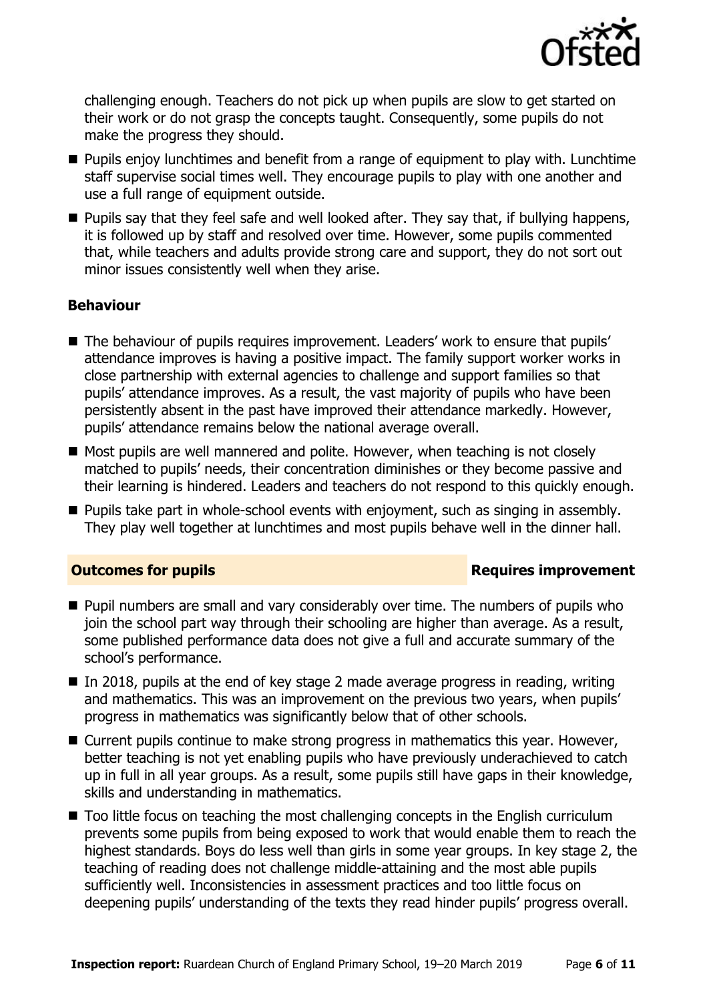

challenging enough. Teachers do not pick up when pupils are slow to get started on their work or do not grasp the concepts taught. Consequently, some pupils do not make the progress they should.

- **Pupils enjoy lunchtimes and benefit from a range of equipment to play with. Lunchtime** staff supervise social times well. They encourage pupils to play with one another and use a full range of equipment outside.
- **Pupils say that they feel safe and well looked after. They say that, if bullying happens,** it is followed up by staff and resolved over time. However, some pupils commented that, while teachers and adults provide strong care and support, they do not sort out minor issues consistently well when they arise.

### **Behaviour**

- The behaviour of pupils requires improvement. Leaders' work to ensure that pupils' attendance improves is having a positive impact. The family support worker works in close partnership with external agencies to challenge and support families so that pupils' attendance improves. As a result, the vast majority of pupils who have been persistently absent in the past have improved their attendance markedly. However, pupils' attendance remains below the national average overall.
- Most pupils are well mannered and polite. However, when teaching is not closely matched to pupils' needs, their concentration diminishes or they become passive and their learning is hindered. Leaders and teachers do not respond to this quickly enough.
- **Pupils take part in whole-school events with enjoyment, such as singing in assembly.** They play well together at lunchtimes and most pupils behave well in the dinner hall.

### **Outcomes for pupils Requires improvement**

- **Pupil numbers are small and vary considerably over time. The numbers of pupils who** join the school part way through their schooling are higher than average. As a result, some published performance data does not give a full and accurate summary of the school's performance.
- $\blacksquare$  In 2018, pupils at the end of key stage 2 made average progress in reading, writing and mathematics. This was an improvement on the previous two years, when pupils' progress in mathematics was significantly below that of other schools.
- Current pupils continue to make strong progress in mathematics this year. However, better teaching is not yet enabling pupils who have previously underachieved to catch up in full in all year groups. As a result, some pupils still have gaps in their knowledge, skills and understanding in mathematics.
- Too little focus on teaching the most challenging concepts in the English curriculum prevents some pupils from being exposed to work that would enable them to reach the highest standards. Boys do less well than girls in some year groups. In key stage 2, the teaching of reading does not challenge middle-attaining and the most able pupils sufficiently well. Inconsistencies in assessment practices and too little focus on deepening pupils' understanding of the texts they read hinder pupils' progress overall.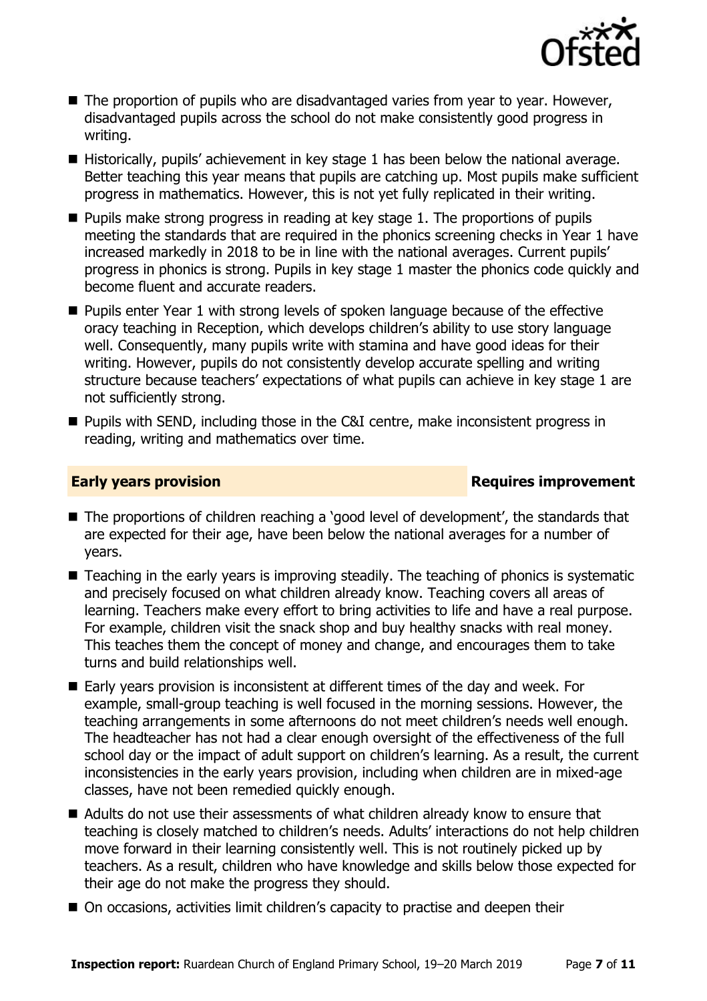

- The proportion of pupils who are disadvantaged varies from year to year. However, disadvantaged pupils across the school do not make consistently good progress in writing.
- $\blacksquare$  Historically, pupils' achievement in key stage 1 has been below the national average. Better teaching this year means that pupils are catching up. Most pupils make sufficient progress in mathematics. However, this is not yet fully replicated in their writing.
- $\blacksquare$  Pupils make strong progress in reading at key stage 1. The proportions of pupils meeting the standards that are required in the phonics screening checks in Year 1 have increased markedly in 2018 to be in line with the national averages. Current pupils' progress in phonics is strong. Pupils in key stage 1 master the phonics code quickly and become fluent and accurate readers.
- **Pupils enter Year 1 with strong levels of spoken language because of the effective** oracy teaching in Reception, which develops children's ability to use story language well. Consequently, many pupils write with stamina and have good ideas for their writing. However, pupils do not consistently develop accurate spelling and writing structure because teachers' expectations of what pupils can achieve in key stage 1 are not sufficiently strong.
- **Pupils with SEND, including those in the C&I centre, make inconsistent progress in** reading, writing and mathematics over time.

### **Early years provision Requires improvement**

- The proportions of children reaching a 'good level of development', the standards that are expected for their age, have been below the national averages for a number of years.
- Teaching in the early years is improving steadily. The teaching of phonics is systematic and precisely focused on what children already know. Teaching covers all areas of learning. Teachers make every effort to bring activities to life and have a real purpose. For example, children visit the snack shop and buy healthy snacks with real money. This teaches them the concept of money and change, and encourages them to take turns and build relationships well.
- Early years provision is inconsistent at different times of the day and week. For example, small-group teaching is well focused in the morning sessions. However, the teaching arrangements in some afternoons do not meet children's needs well enough. The headteacher has not had a clear enough oversight of the effectiveness of the full school day or the impact of adult support on children's learning. As a result, the current inconsistencies in the early years provision, including when children are in mixed-age classes, have not been remedied quickly enough.
- Adults do not use their assessments of what children already know to ensure that teaching is closely matched to children's needs. Adults' interactions do not help children move forward in their learning consistently well. This is not routinely picked up by teachers. As a result, children who have knowledge and skills below those expected for their age do not make the progress they should.
- On occasions, activities limit children's capacity to practise and deepen their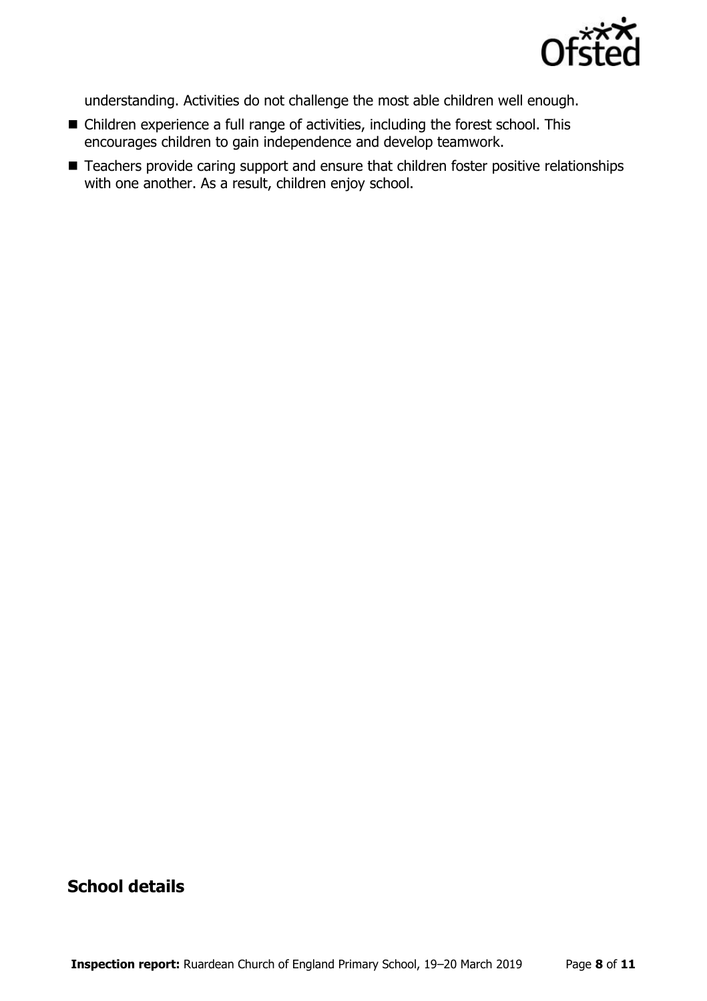

understanding. Activities do not challenge the most able children well enough.

- Children experience a full range of activities, including the forest school. This encourages children to gain independence and develop teamwork.
- Teachers provide caring support and ensure that children foster positive relationships with one another. As a result, children enjoy school.

## **School details**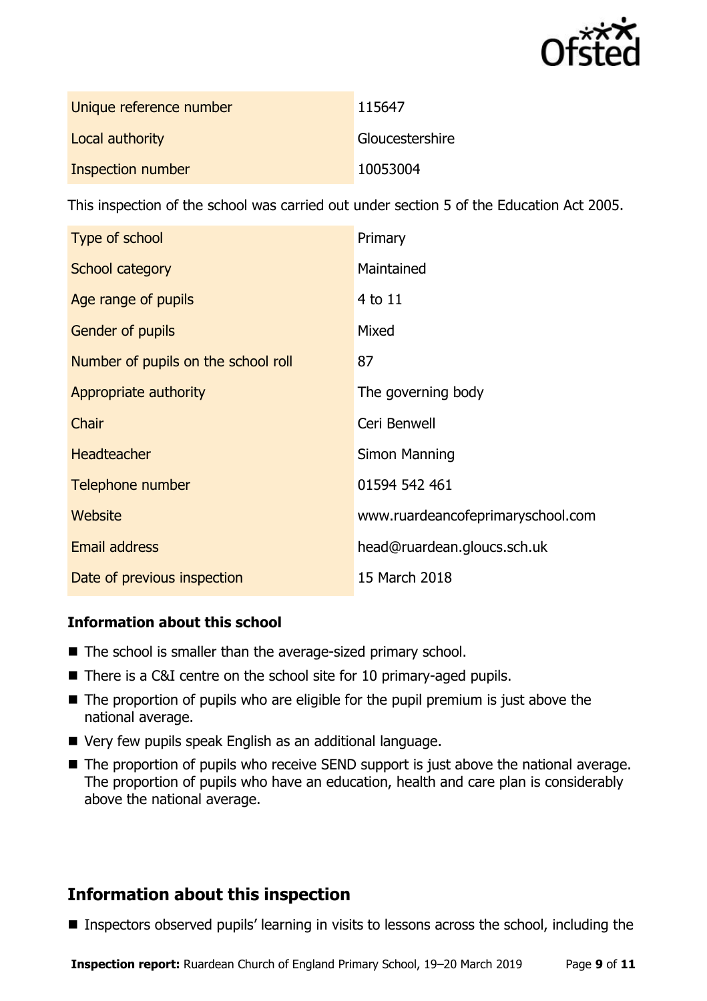

| Unique reference number | 115647          |
|-------------------------|-----------------|
| Local authority         | Gloucestershire |
| Inspection number       | 10053004        |

This inspection of the school was carried out under section 5 of the Education Act 2005.

| Type of school                      | Primary                           |
|-------------------------------------|-----------------------------------|
| School category                     | Maintained                        |
| Age range of pupils                 | 4 to 11                           |
| <b>Gender of pupils</b>             | Mixed                             |
| Number of pupils on the school roll | 87                                |
| Appropriate authority               | The governing body                |
| Chair                               | Ceri Benwell                      |
| <b>Headteacher</b>                  | Simon Manning                     |
| Telephone number                    | 01594 542 461                     |
| <b>Website</b>                      | www.ruardeancofeprimaryschool.com |
| <b>Email address</b>                | head@ruardean.gloucs.sch.uk       |
| Date of previous inspection         | 15 March 2018                     |

### **Information about this school**

- The school is smaller than the average-sized primary school.
- There is a C&I centre on the school site for 10 primary-aged pupils.
- $\blacksquare$  The proportion of pupils who are eligible for the pupil premium is just above the national average.
- Very few pupils speak English as an additional language.
- The proportion of pupils who receive SEND support is just above the national average. The proportion of pupils who have an education, health and care plan is considerably above the national average.

# **Information about this inspection**

■ Inspectors observed pupils' learning in visits to lessons across the school, including the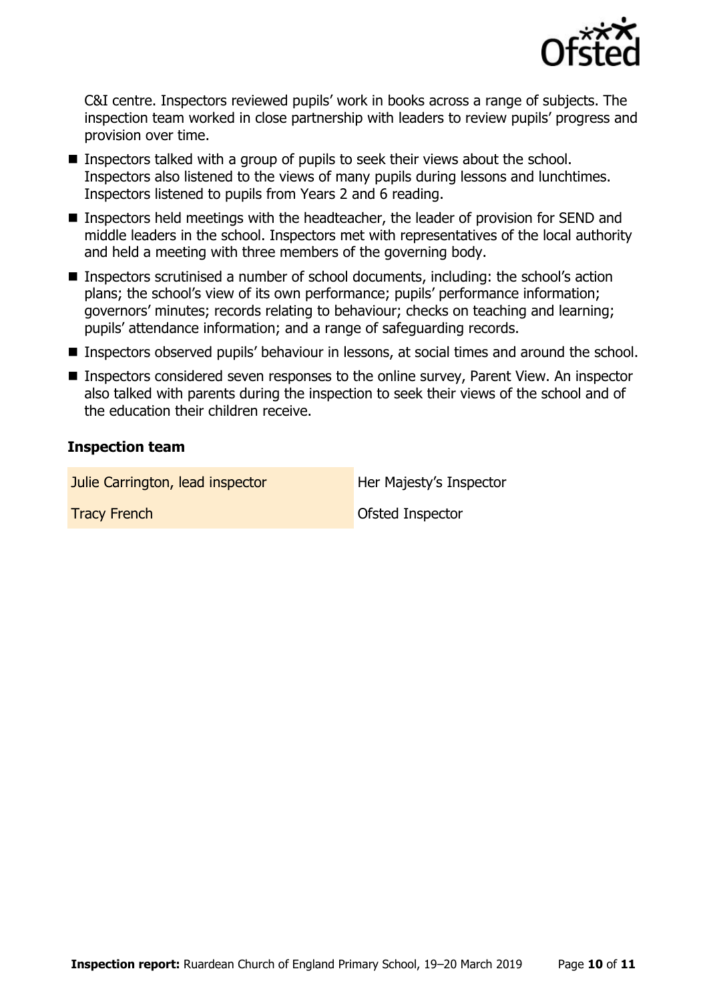

C&I centre. Inspectors reviewed pupils' work in books across a range of subjects. The inspection team worked in close partnership with leaders to review pupils' progress and provision over time.

- Inspectors talked with a group of pupils to seek their views about the school. Inspectors also listened to the views of many pupils during lessons and lunchtimes. Inspectors listened to pupils from Years 2 and 6 reading.
- **Inspectors held meetings with the headteacher, the leader of provision for SEND and** middle leaders in the school. Inspectors met with representatives of the local authority and held a meeting with three members of the governing body.
- Inspectors scrutinised a number of school documents, including: the school's action plans; the school's view of its own performance; pupils' performance information; governors' minutes; records relating to behaviour; checks on teaching and learning; pupils' attendance information; and a range of safeguarding records.
- **Inspectors observed pupils' behaviour in lessons, at social times and around the school.**
- Inspectors considered seven responses to the online survey, Parent View. An inspector also talked with parents during the inspection to seek their views of the school and of the education their children receive.

#### **Inspection team**

Julie Carrington, lead inspector **Her Majesty's Inspector** 

**Tracy French Construction Construction Construction Construction Construction Construction Construction Construction Construction Construction Construction Construction Construction Construction Construction Construction**